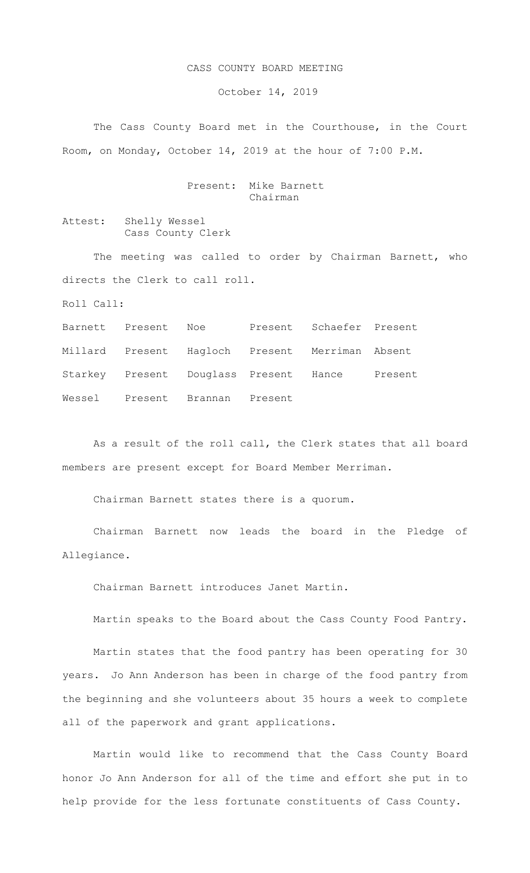## CASS COUNTY BOARD MEETING

October 14, 2019

The Cass County Board met in the Courthouse, in the Court Room, on Monday, October 14, 2019 at the hour of 7:00 P.M.

## Present: Mike Barnett Chairman

Attest: Shelly Wessel Cass County Clerk

The meeting was called to order by Chairman Barnett, who directs the Clerk to call roll.

Roll Call:

| Barnett Present Noe |                                | Present Schaefer Present                        |         |
|---------------------|--------------------------------|-------------------------------------------------|---------|
|                     |                                | Millard Present Hagloch Present Merriman Absent |         |
|                     |                                | Starkey Present Douglass Present Hance          | Present |
|                     | Wessel Present Brannan Present |                                                 |         |

As a result of the roll call, the Clerk states that all board members are present except for Board Member Merriman.

Chairman Barnett states there is a quorum.

Chairman Barnett now leads the board in the Pledge of Allegiance.

Chairman Barnett introduces Janet Martin.

Martin speaks to the Board about the Cass County Food Pantry.

Martin states that the food pantry has been operating for 30 years. Jo Ann Anderson has been in charge of the food pantry from the beginning and she volunteers about 35 hours a week to complete all of the paperwork and grant applications.

Martin would like to recommend that the Cass County Board honor Jo Ann Anderson for all of the time and effort she put in to help provide for the less fortunate constituents of Cass County.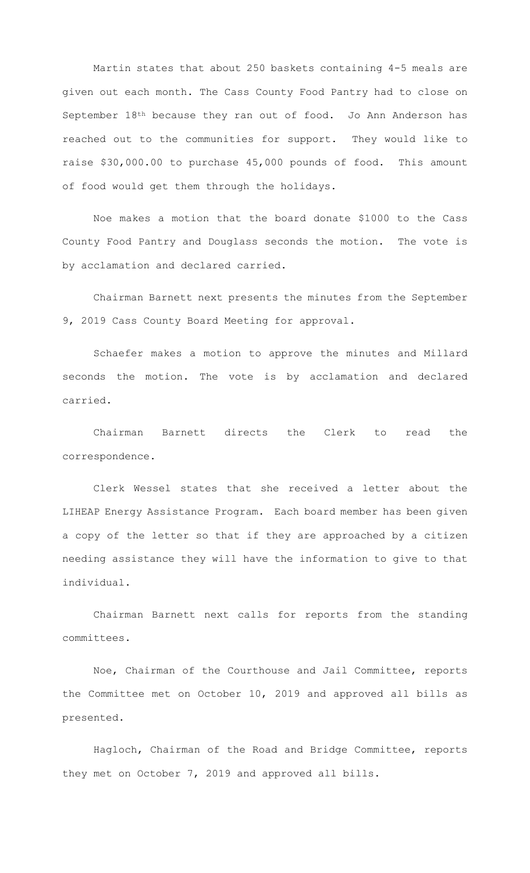Martin states that about 250 baskets containing 4-5 meals are given out each month. The Cass County Food Pantry had to close on September 18th because they ran out of food. Jo Ann Anderson has reached out to the communities for support. They would like to raise \$30,000.00 to purchase 45,000 pounds of food. This amount of food would get them through the holidays.

Noe makes a motion that the board donate \$1000 to the Cass County Food Pantry and Douglass seconds the motion. The vote is by acclamation and declared carried.

Chairman Barnett next presents the minutes from the September 9, 2019 Cass County Board Meeting for approval.

Schaefer makes a motion to approve the minutes and Millard seconds the motion. The vote is by acclamation and declared carried.

Chairman Barnett directs the Clerk to read the correspondence.

Clerk Wessel states that she received a letter about the LIHEAP Energy Assistance Program. Each board member has been given a copy of the letter so that if they are approached by a citizen needing assistance they will have the information to give to that individual.

Chairman Barnett next calls for reports from the standing committees.

Noe, Chairman of the Courthouse and Jail Committee, reports the Committee met on October 10, 2019 and approved all bills as presented.

Hagloch, Chairman of the Road and Bridge Committee, reports they met on October 7, 2019 and approved all bills.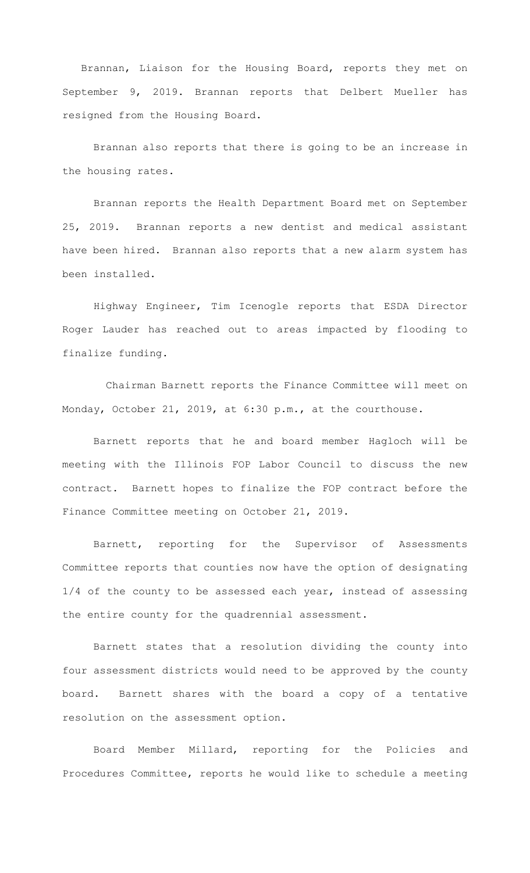Brannan, Liaison for the Housing Board, reports they met on September 9, 2019. Brannan reports that Delbert Mueller has resigned from the Housing Board.

 Brannan also reports that there is going to be an increase in the housing rates.

 Brannan reports the Health Department Board met on September 25, 2019. Brannan reports a new dentist and medical assistant have been hired. Brannan also reports that a new alarm system has been installed.

 Highway Engineer, Tim Icenogle reports that ESDA Director Roger Lauder has reached out to areas impacted by flooding to finalize funding.

 Chairman Barnett reports the Finance Committee will meet on Monday, October 21, 2019, at 6:30 p.m., at the courthouse.

Barnett reports that he and board member Hagloch will be meeting with the Illinois FOP Labor Council to discuss the new contract. Barnett hopes to finalize the FOP contract before the Finance Committee meeting on October 21, 2019.

Barnett, reporting for the Supervisor of Assessments Committee reports that counties now have the option of designating 1/4 of the county to be assessed each year, instead of assessing the entire county for the quadrennial assessment.

Barnett states that a resolution dividing the county into four assessment districts would need to be approved by the county board. Barnett shares with the board a copy of a tentative resolution on the assessment option.

Board Member Millard, reporting for the Policies and Procedures Committee, reports he would like to schedule a meeting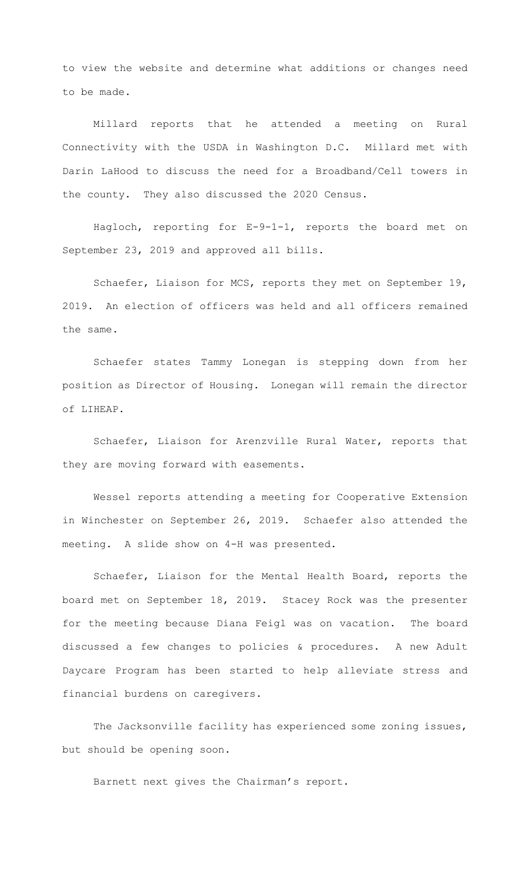to view the website and determine what additions or changes need to be made.

Millard reports that he attended a meeting on Rural Connectivity with the USDA in Washington D.C. Millard met with Darin LaHood to discuss the need for a Broadband/Cell towers in the county. They also discussed the 2020 Census.

Hagloch, reporting for E-9-1-1, reports the board met on September 23, 2019 and approved all bills.

Schaefer, Liaison for MCS, reports they met on September 19, 2019. An election of officers was held and all officers remained the same.

Schaefer states Tammy Lonegan is stepping down from her position as Director of Housing. Lonegan will remain the director of LIHEAP.

Schaefer, Liaison for Arenzville Rural Water, reports that they are moving forward with easements.

Wessel reports attending a meeting for Cooperative Extension in Winchester on September 26, 2019. Schaefer also attended the meeting. A slide show on 4-H was presented.

Schaefer, Liaison for the Mental Health Board, reports the board met on September 18, 2019. Stacey Rock was the presenter for the meeting because Diana Feigl was on vacation. The board discussed a few changes to policies & procedures. A new Adult Daycare Program has been started to help alleviate stress and financial burdens on caregivers.

The Jacksonville facility has experienced some zoning issues, but should be opening soon.

Barnett next gives the Chairman's report.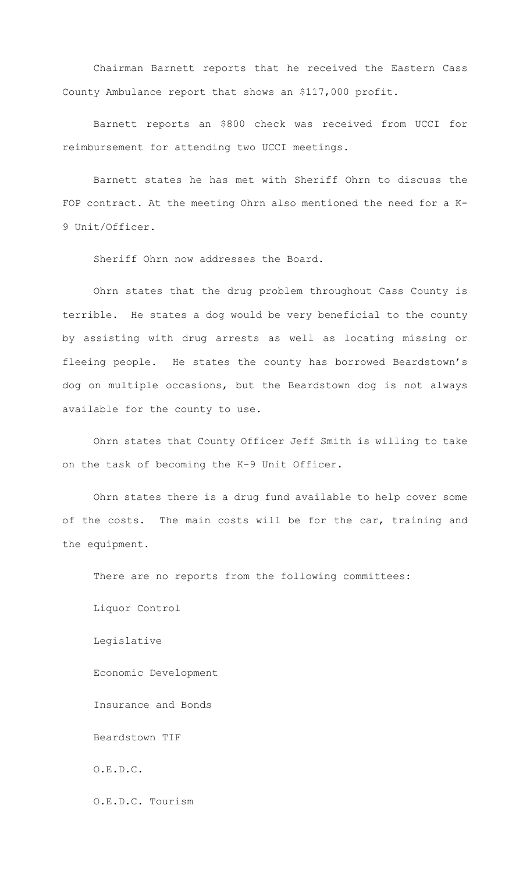Chairman Barnett reports that he received the Eastern Cass County Ambulance report that shows an \$117,000 profit.

Barnett reports an \$800 check was received from UCCI for reimbursement for attending two UCCI meetings.

Barnett states he has met with Sheriff Ohrn to discuss the FOP contract. At the meeting Ohrn also mentioned the need for a K-9 Unit/Officer.

Sheriff Ohrn now addresses the Board.

Ohrn states that the drug problem throughout Cass County is terrible. He states a dog would be very beneficial to the county by assisting with drug arrests as well as locating missing or fleeing people. He states the county has borrowed Beardstown's dog on multiple occasions, but the Beardstown dog is not always available for the county to use.

Ohrn states that County Officer Jeff Smith is willing to take on the task of becoming the K-9 Unit Officer.

Ohrn states there is a drug fund available to help cover some of the costs. The main costs will be for the car, training and the equipment.

There are no reports from the following committees:

Liquor Control

Legislative

Economic Development

Insurance and Bonds

Beardstown TIF

O.E.D.C.

O.E.D.C. Tourism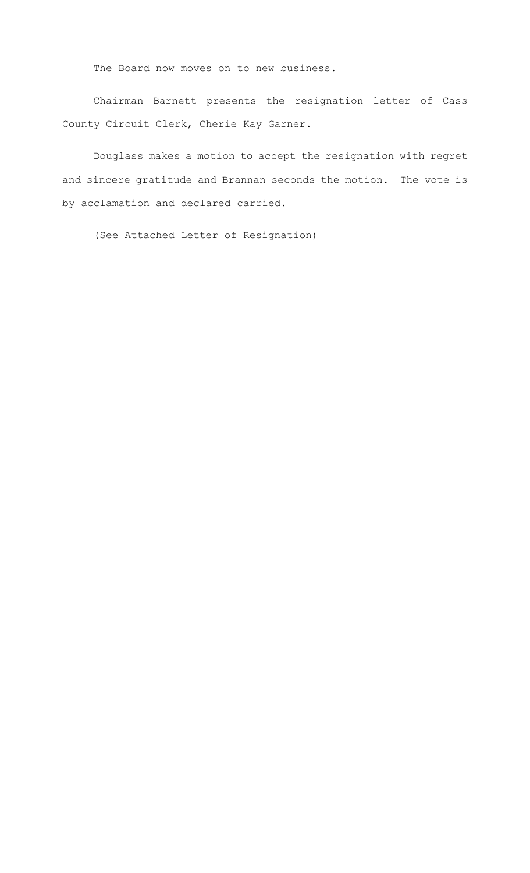The Board now moves on to new business.

Chairman Barnett presents the resignation letter of Cass County Circuit Clerk, Cherie Kay Garner.

Douglass makes a motion to accept the resignation with regret and sincere gratitude and Brannan seconds the motion. The vote is by acclamation and declared carried.

(See Attached Letter of Resignation)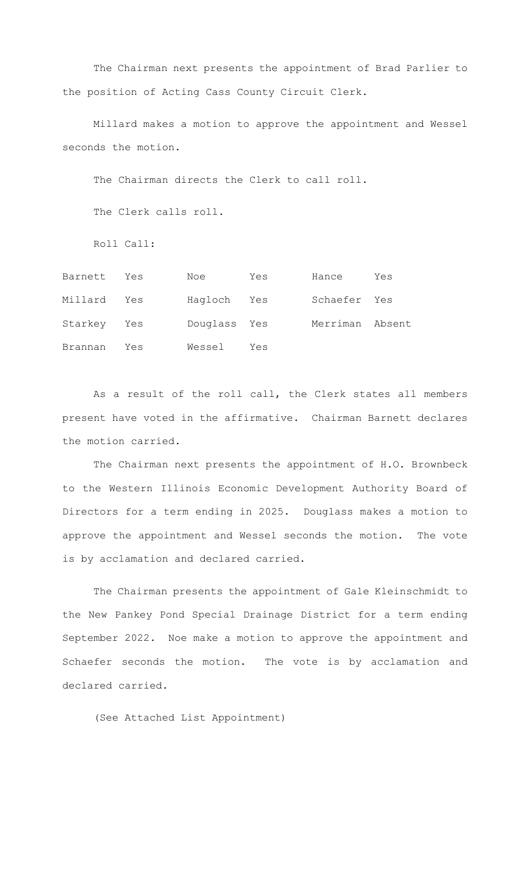The Chairman next presents the appointment of Brad Parlier to the position of Acting Cass County Circuit Clerk.

Millard makes a motion to approve the appointment and Wessel seconds the motion.

The Chairman directs the Clerk to call roll.

The Clerk calls roll.

Roll Call:

| Barnett     | Yes | Noe          | Yes | Hance           | Yes |
|-------------|-----|--------------|-----|-----------------|-----|
| Millard     | Yes | Haqloch Yes  |     | Schaefer Yes    |     |
| Starkey Yes |     | Douglass Yes |     | Merriman Absent |     |
| Brannan     | Yes | Wessel       | Yes |                 |     |

As a result of the roll call, the Clerk states all members present have voted in the affirmative. Chairman Barnett declares the motion carried.

The Chairman next presents the appointment of H.O. Brownbeck to the Western Illinois Economic Development Authority Board of Directors for a term ending in 2025. Douglass makes a motion to approve the appointment and Wessel seconds the motion. The vote is by acclamation and declared carried.

The Chairman presents the appointment of Gale Kleinschmidt to the New Pankey Pond Special Drainage District for a term ending September 2022. Noe make a motion to approve the appointment and Schaefer seconds the motion. The vote is by acclamation and declared carried.

(See Attached List Appointment)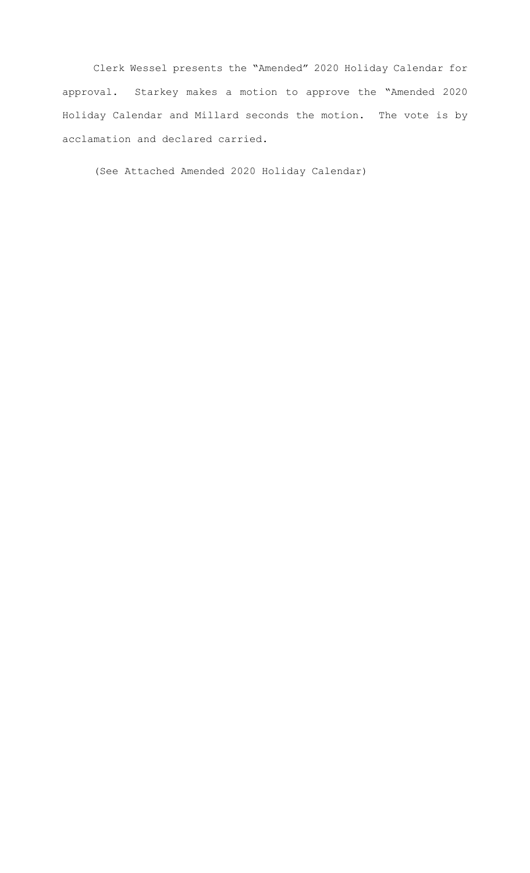Clerk Wessel presents the "Amended" 2020 Holiday Calendar for approval. Starkey makes a motion to approve the "Amended 2020 Holiday Calendar and Millard seconds the motion. The vote is by acclamation and declared carried.

(See Attached Amended 2020 Holiday Calendar)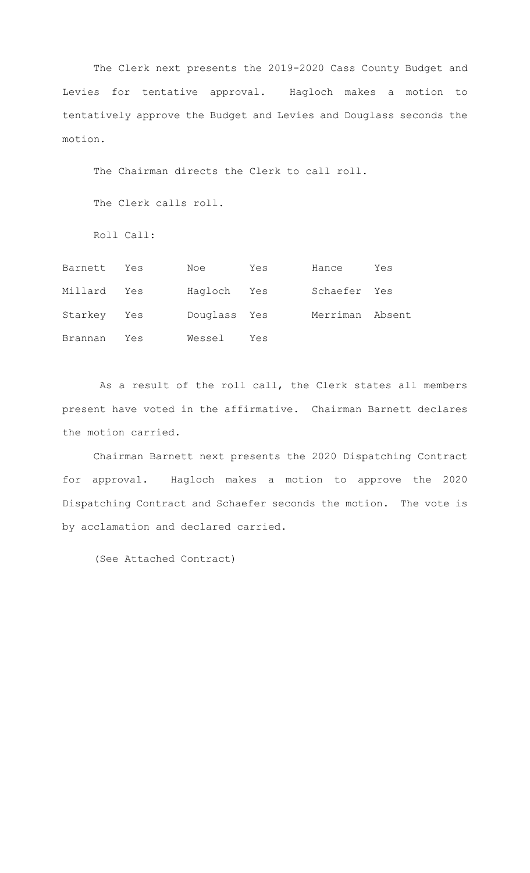The Clerk next presents the 2019-2020 Cass County Budget and Levies for tentative approval. Hagloch makes a motion to tentatively approve the Budget and Levies and Douglass seconds the motion.

The Chairman directs the Clerk to call roll.

The Clerk calls roll.

Roll Call:

| Barnett Yes |     | Noe          | Yes | Hance           | Yes |
|-------------|-----|--------------|-----|-----------------|-----|
| Millard     | Yes | Hagloch Yes  |     | Schaefer Yes    |     |
| Starkey Yes |     | Douglass Yes |     | Merriman Absent |     |
| Brannan     | Yes | Wessel       | Yes |                 |     |

 As a result of the roll call, the Clerk states all members present have voted in the affirmative. Chairman Barnett declares the motion carried.

Chairman Barnett next presents the 2020 Dispatching Contract for approval. Hagloch makes a motion to approve the 2020 Dispatching Contract and Schaefer seconds the motion. The vote is by acclamation and declared carried.

(See Attached Contract)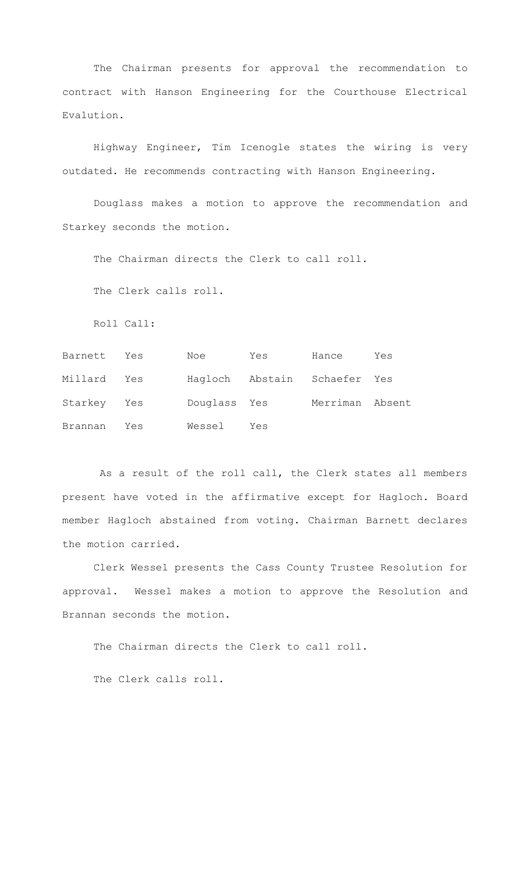The Chairman presents for approval the recommendation to contract with Hanson Engineering for the Courthouse Electrical Evalution.

Highway Engineer, Tim Icenogle states the wiring is very outdated. He recommends contracting with Hanson Engineering.

Douglass makes a motion to approve the recommendation and Starkey seconds the motion.

The Chairman directs the Clerk to call roll.

The Clerk calls roll.

Roll Call:

| Barnett Yes |     | Noe          | Yes | Hance                        | Yes |
|-------------|-----|--------------|-----|------------------------------|-----|
| Millard     | Yes |              |     | Hagloch Abstain Schaefer Yes |     |
| Starkey Yes |     | Douglass Yes |     | Merriman Absent              |     |
| Brannan     | Yes | Wessel       | Yes |                              |     |

 As a result of the roll call, the Clerk states all members present have voted in the affirmative except for Hagloch. Board member Hagloch abstained from voting. Chairman Barnett declares the motion carried.

 Clerk Wessel presents the Cass County Trustee Resolution for approval. Wessel makes a motion to approve the Resolution and Brannan seconds the motion.

The Chairman directs the Clerk to call roll.

The Clerk calls roll.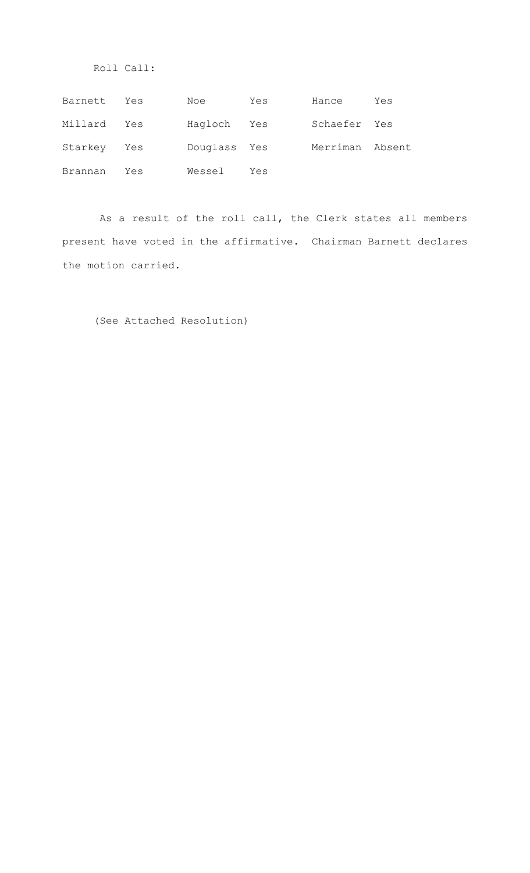Roll Call:

| Barnett     | Yes | Noe          | Yes | Hance           | Yes |
|-------------|-----|--------------|-----|-----------------|-----|
| Millard     | Yes | Hagloch Yes  |     | Schaefer Yes    |     |
| Starkey Yes |     | Douglass Yes |     | Merriman Absent |     |
| Brannan     | Yes | Wessel       | Yes |                 |     |

 As a result of the roll call, the Clerk states all members present have voted in the affirmative. Chairman Barnett declares the motion carried.

(See Attached Resolution)